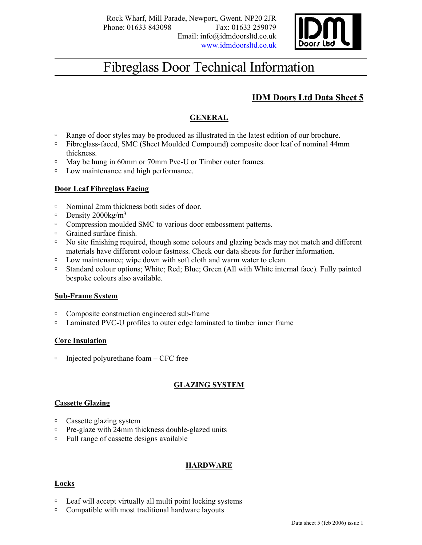

# Fibreglass Door Technical Information

# IDM Doors Ltd Data Sheet 5

# GENERAL

- Range of door styles may be produced as illustrated in the latest edition of our brochure.
- Fibreglass-faced, SMC (Sheet Moulded Compound) composite door leaf of nominal 44mm thickness.
- <sup>n</sup> May be hung in 60mm or 70mm Pvc-U or Timber outer frames.
- Dow maintenance and high performance.

### Door Leaf Fibreglass Facing

- □ Nominal 2mm thickness both sides of door.
- $D$ ensity 2000kg/m<sup>3</sup>
- □ Compression moulded SMC to various door embossment patterns.
- Grained surface finish.
- $\Box$  No site finishing required, though some colours and glazing beads may not match and different materials have different colour fastness. Check our data sheets for further information.
- $\Box$  Low maintenance; wipe down with soft cloth and warm water to clean.
- □ Standard colour options; White; Red; Blue; Green (All with White internal face). Fully painted bespoke colours also available.

### Sub-Frame System

- <sup>In</sup> Composite construction engineered sub-frame
- <sup>n</sup> Laminated PVC-U profiles to outer edge laminated to timber inner frame

### Core Insulation

 $\Box$  Injected polyurethane foam – CFC free

## GLAZING SYSTEM

### Cassette Glazing

- Cassette glazing system
- $P$ re-glaze with 24mm thickness double-glazed units
- <sup> $\Box$ </sup> Full range of cassette designs available

## HARDWARE

### Locks

- $\Box$  Leaf will accept virtually all multi point locking systems
- □ Compatible with most traditional hardware layouts